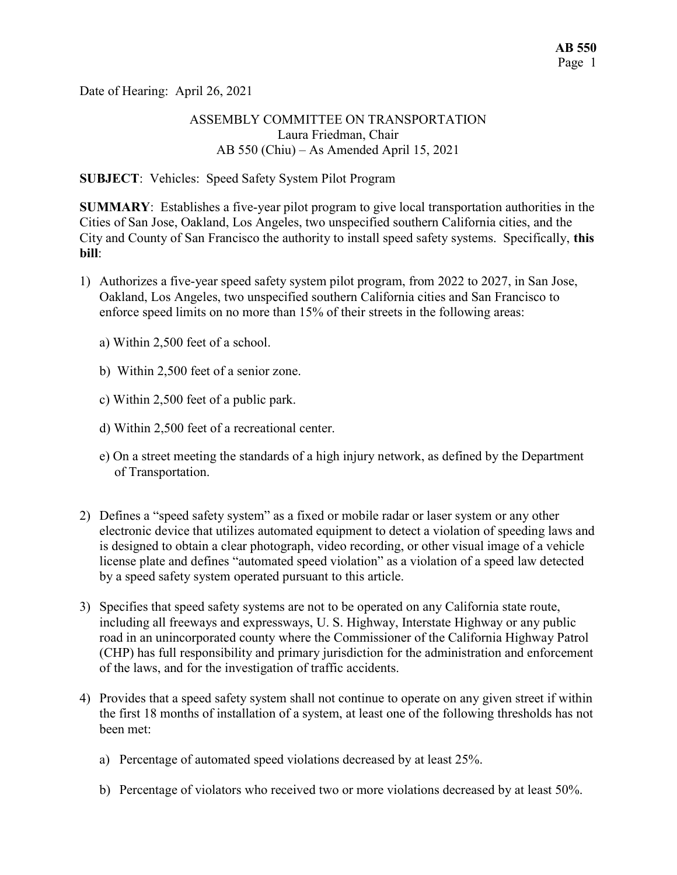Date of Hearing: April 26, 2021

## ASSEMBLY COMMITTEE ON TRANSPORTATION Laura Friedman, Chair AB 550 (Chiu) – As Amended April 15, 2021

### SUBJECT: Vehicles: Speed Safety System Pilot Program

SUMMARY: Establishes a five-year pilot program to give local transportation authorities in the Cities of San Jose, Oakland, Los Angeles, two unspecified southern California cities, and the City and County of San Francisco the authority to install speed safety systems. Specifically, this bill:

- 1) Authorizes a five-year speed safety system pilot program, from 2022 to 2027, in San Jose, Oakland, Los Angeles, two unspecified southern California cities and San Francisco to enforce speed limits on no more than 15% of their streets in the following areas:
	- a) Within 2,500 feet of a school.
	- b) Within 2,500 feet of a senior zone.
	- c) Within 2,500 feet of a public park.
	- d) Within 2,500 feet of a recreational center.
	- e) On a street meeting the standards of a high injury network, as defined by the Department of Transportation.
- 2) Defines a "speed safety system" as a fixed or mobile radar or laser system or any other electronic device that utilizes automated equipment to detect a violation of speeding laws and is designed to obtain a clear photograph, video recording, or other visual image of a vehicle license plate and defines "automated speed violation" as a violation of a speed law detected by a speed safety system operated pursuant to this article.
- 3) Specifies that speed safety systems are not to be operated on any California state route, including all freeways and expressways, U. S. Highway, Interstate Highway or any public road in an unincorporated county where the Commissioner of the California Highway Patrol (CHP) has full responsibility and primary jurisdiction for the administration and enforcement of the laws, and for the investigation of traffic accidents.
- 4) Provides that a speed safety system shall not continue to operate on any given street if within the first 18 months of installation of a system, at least one of the following thresholds has not been met:
	- a) Percentage of automated speed violations decreased by at least 25%.
	- b) Percentage of violators who received two or more violations decreased by at least 50%.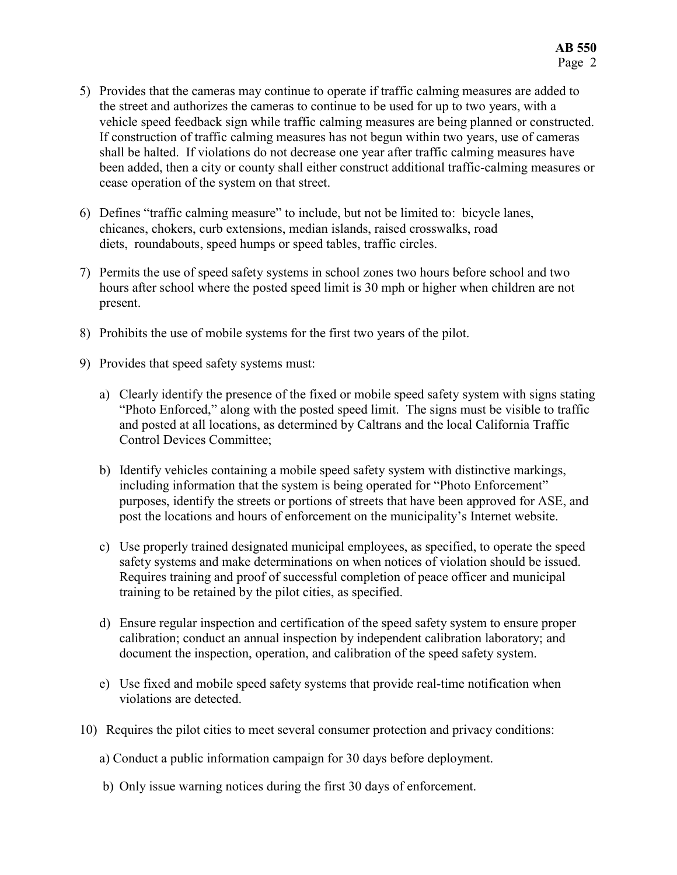- 5) Provides that the cameras may continue to operate if traffic calming measures are added to the street and authorizes the cameras to continue to be used for up to two years, with a vehicle speed feedback sign while traffic calming measures are being planned or constructed. If construction of traffic calming measures has not begun within two years, use of cameras shall be halted. If violations do not decrease one year after traffic calming measures have been added, then a city or county shall either construct additional traffic-calming measures or cease operation of the system on that street.
- 6) Defines "traffic calming measure" to include, but not be limited to: bicycle lanes, chicanes, chokers, curb extensions, median islands, raised crosswalks, road diets, roundabouts, speed humps or speed tables, traffic circles.
- 7) Permits the use of speed safety systems in school zones two hours before school and two hours after school where the posted speed limit is 30 mph or higher when children are not present.
- 8) Prohibits the use of mobile systems for the first two years of the pilot.
- 9) Provides that speed safety systems must:
	- a) Clearly identify the presence of the fixed or mobile speed safety system with signs stating "Photo Enforced," along with the posted speed limit. The signs must be visible to traffic and posted at all locations, as determined by Caltrans and the local California Traffic Control Devices Committee;
	- b) Identify vehicles containing a mobile speed safety system with distinctive markings, including information that the system is being operated for "Photo Enforcement" purposes, identify the streets or portions of streets that have been approved for ASE, and post the locations and hours of enforcement on the municipality's Internet website.
	- c) Use properly trained designated municipal employees, as specified, to operate the speed safety systems and make determinations on when notices of violation should be issued. Requires training and proof of successful completion of peace officer and municipal training to be retained by the pilot cities, as specified.
	- d) Ensure regular inspection and certification of the speed safety system to ensure proper calibration; conduct an annual inspection by independent calibration laboratory; and document the inspection, operation, and calibration of the speed safety system.
	- e) Use fixed and mobile speed safety systems that provide real-time notification when violations are detected.
- 10) Requires the pilot cities to meet several consumer protection and privacy conditions:
	- a) Conduct a public information campaign for 30 days before deployment.
	- b) Only issue warning notices during the first 30 days of enforcement.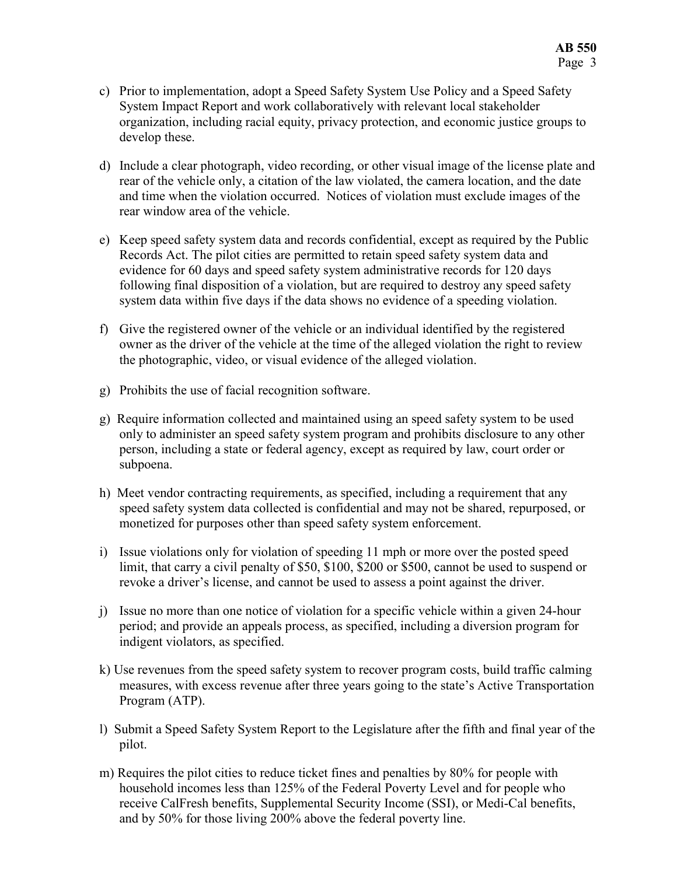- c) Prior to implementation, adopt a Speed Safety System Use Policy and a Speed Safety System Impact Report and work collaboratively with relevant local stakeholder organization, including racial equity, privacy protection, and economic justice groups to develop these.
- d) Include a clear photograph, video recording, or other visual image of the license plate and rear of the vehicle only, a citation of the law violated, the camera location, and the date and time when the violation occurred. Notices of violation must exclude images of the rear window area of the vehicle.
- e) Keep speed safety system data and records confidential, except as required by the Public Records Act. The pilot cities are permitted to retain speed safety system data and evidence for 60 days and speed safety system administrative records for 120 days following final disposition of a violation, but are required to destroy any speed safety system data within five days if the data shows no evidence of a speeding violation.
- f) Give the registered owner of the vehicle or an individual identified by the registered owner as the driver of the vehicle at the time of the alleged violation the right to review the photographic, video, or visual evidence of the alleged violation.
- g) Prohibits the use of facial recognition software.
- g) Require information collected and maintained using an speed safety system to be used only to administer an speed safety system program and prohibits disclosure to any other person, including a state or federal agency, except as required by law, court order or subpoena.
- h) Meet vendor contracting requirements, as specified, including a requirement that any speed safety system data collected is confidential and may not be shared, repurposed, or monetized for purposes other than speed safety system enforcement.
- i) Issue violations only for violation of speeding 11 mph or more over the posted speed limit, that carry a civil penalty of \$50, \$100, \$200 or \$500, cannot be used to suspend or revoke a driver's license, and cannot be used to assess a point against the driver.
- j) Issue no more than one notice of violation for a specific vehicle within a given 24-hour period; and provide an appeals process, as specified, including a diversion program for indigent violators, as specified.
- k) Use revenues from the speed safety system to recover program costs, build traffic calming measures, with excess revenue after three years going to the state's Active Transportation Program (ATP).
- l) Submit a Speed Safety System Report to the Legislature after the fifth and final year of the pilot.
- m) Requires the pilot cities to reduce ticket fines and penalties by 80% for people with household incomes less than 125% of the Federal Poverty Level and for people who receive CalFresh benefits, Supplemental Security Income (SSI), or Medi-Cal benefits, and by 50% for those living 200% above the federal poverty line.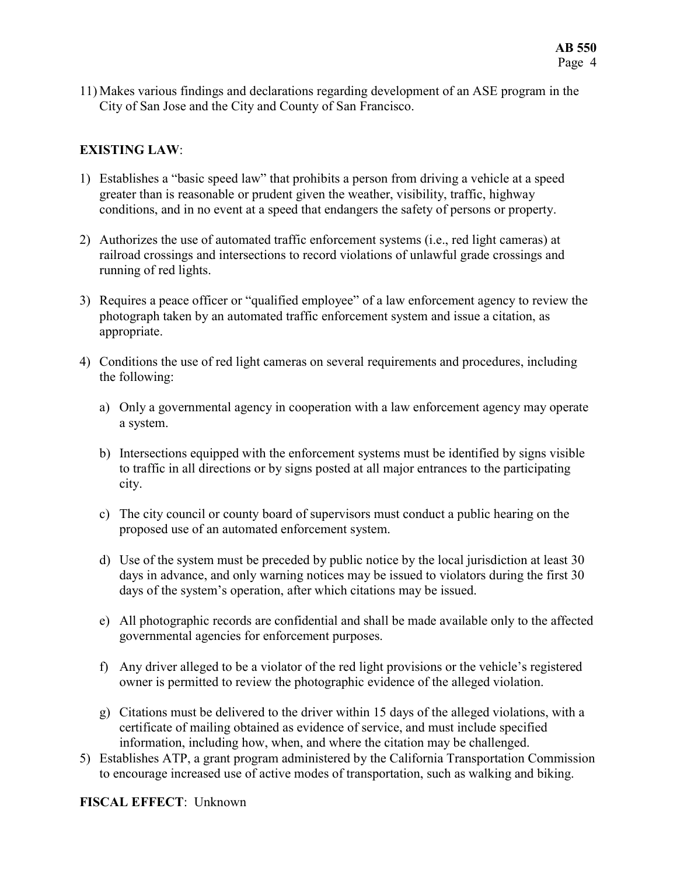11) Makes various findings and declarations regarding development of an ASE program in the City of San Jose and the City and County of San Francisco.

# EXISTING LAW:

- 1) Establishes a "basic speed law" that prohibits a person from driving a vehicle at a speed greater than is reasonable or prudent given the weather, visibility, traffic, highway conditions, and in no event at a speed that endangers the safety of persons or property.
- 2) Authorizes the use of automated traffic enforcement systems (i.e., red light cameras) at railroad crossings and intersections to record violations of unlawful grade crossings and running of red lights.
- 3) Requires a peace officer or "qualified employee" of a law enforcement agency to review the photograph taken by an automated traffic enforcement system and issue a citation, as appropriate.
- 4) Conditions the use of red light cameras on several requirements and procedures, including the following:
	- a) Only a governmental agency in cooperation with a law enforcement agency may operate a system.
	- b) Intersections equipped with the enforcement systems must be identified by signs visible to traffic in all directions or by signs posted at all major entrances to the participating city.
	- c) The city council or county board of supervisors must conduct a public hearing on the proposed use of an automated enforcement system.
	- d) Use of the system must be preceded by public notice by the local jurisdiction at least 30 days in advance, and only warning notices may be issued to violators during the first 30 days of the system's operation, after which citations may be issued.
	- e) All photographic records are confidential and shall be made available only to the affected governmental agencies for enforcement purposes.
	- f) Any driver alleged to be a violator of the red light provisions or the vehicle's registered owner is permitted to review the photographic evidence of the alleged violation.
	- g) Citations must be delivered to the driver within 15 days of the alleged violations, with a certificate of mailing obtained as evidence of service, and must include specified information, including how, when, and where the citation may be challenged.
- 5) Establishes ATP, a grant program administered by the California Transportation Commission to encourage increased use of active modes of transportation, such as walking and biking.

### FISCAL EFFECT: Unknown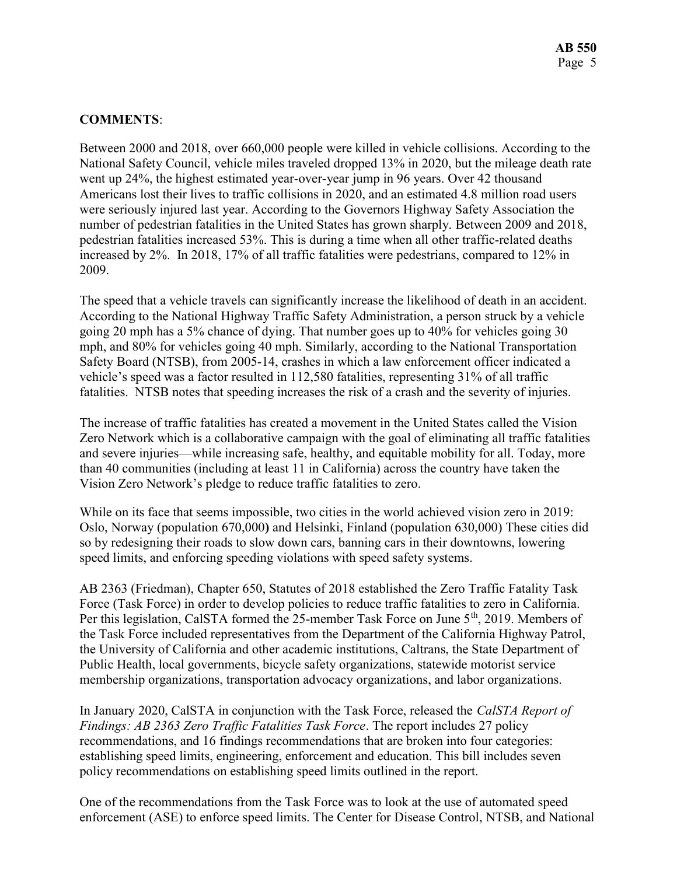# COMMENTS:

Between 2000 and 2018, over 660,000 people were killed in vehicle collisions. According to the National Safety Council, vehicle miles traveled dropped 13% in 2020, but the mileage death rate went up 24%, the highest estimated year-over-year jump in 96 years. Over 42 thousand Americans lost their lives to traffic collisions in 2020, and an estimated 4.8 million road users were seriously injured last year. According to the Governors Highway Safety Association the number of pedestrian fatalities in the United States has grown sharply. Between 2009 and 2018, pedestrian fatalities increased 53%. This is during a time when all other traffic-related deaths increased by 2%. In 2018, 17% of all traffic fatalities were pedestrians, compared to 12% in 2009.

The speed that a vehicle travels can significantly increase the likelihood of death in an accident. According to the National Highway Traffic Safety Administration, a person struck by a vehicle going 20 mph has a 5% chance of dying. That number goes up to 40% for vehicles going 30 mph, and 80% for vehicles going 40 mph. Similarly, according to the National Transportation Safety Board (NTSB), from 2005-14, crashes in which a law enforcement officer indicated a vehicle's speed was a factor resulted in 112,580 fatalities, representing 31% of all traffic fatalities. NTSB notes that speeding increases the risk of a crash and the severity of injuries.

The increase of traffic fatalities has created a movement in the United States called the Vision Zero Network which is a collaborative campaign with the goal of eliminating all traffic fatalities and severe injuries—while increasing safe, healthy, and equitable mobility for all. Today, more than 40 communities (including at least 11 in California) across the country have taken the Vision Zero Network's pledge to reduce traffic fatalities to zero.

While on its face that seems impossible, two cities in the world achieved vision zero in 2019: Oslo, Norway (population 670,000) and Helsinki, Finland (population 630,000) These cities did so by redesigning their roads to slow down cars, banning cars in their downtowns, lowering speed limits, and enforcing speeding violations with speed safety systems.

AB 2363 (Friedman), Chapter 650, Statutes of 2018 established the Zero Traffic Fatality Task Force (Task Force) in order to develop policies to reduce traffic fatalities to zero in California. Per this legislation, CalSTA formed the 25-member Task Force on June 5<sup>th</sup>, 2019. Members of the Task Force included representatives from the Department of the California Highway Patrol, the University of California and other academic institutions, Caltrans, the State Department of Public Health, local governments, bicycle safety organizations, statewide motorist service membership organizations, transportation advocacy organizations, and labor organizations.

In January 2020, CalSTA in conjunction with the Task Force, released the CalSTA Report of Findings: AB 2363 Zero Traffic Fatalities Task Force. The report includes 27 policy recommendations, and 16 findings recommendations that are broken into four categories: establishing speed limits, engineering, enforcement and education. This bill includes seven policy recommendations on establishing speed limits outlined in the report.

One of the recommendations from the Task Force was to look at the use of automated speed enforcement (ASE) to enforce speed limits. The Center for Disease Control, NTSB, and National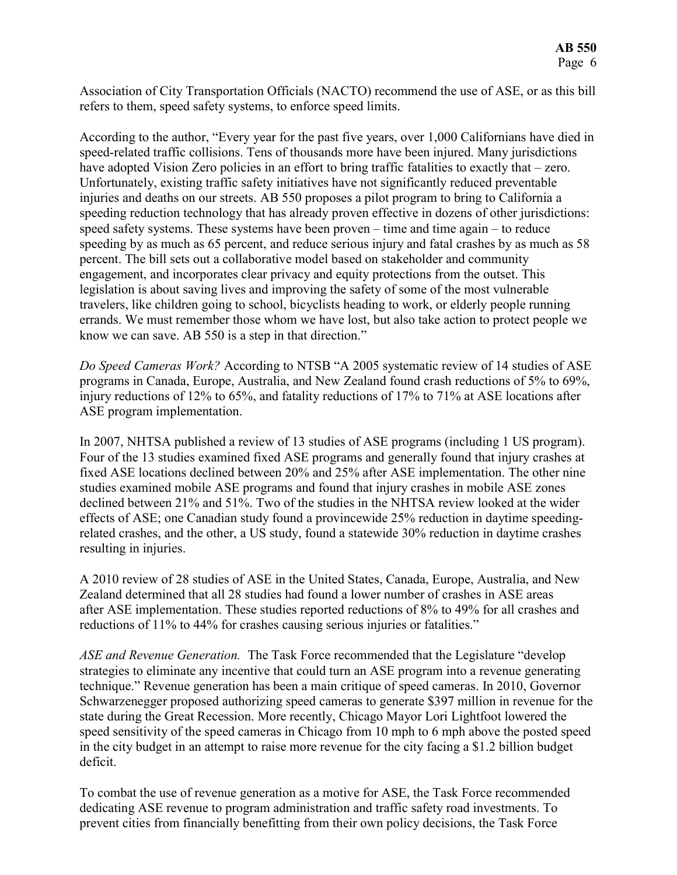Association of City Transportation Officials (NACTO) recommend the use of ASE, or as this bill refers to them, speed safety systems, to enforce speed limits.

According to the author, "Every year for the past five years, over 1,000 Californians have died in speed-related traffic collisions. Tens of thousands more have been injured. Many jurisdictions have adopted Vision Zero policies in an effort to bring traffic fatalities to exactly that – zero. Unfortunately, existing traffic safety initiatives have not significantly reduced preventable injuries and deaths on our streets. AB 550 proposes a pilot program to bring to California a speeding reduction technology that has already proven effective in dozens of other jurisdictions: speed safety systems. These systems have been proven – time and time again – to reduce speeding by as much as 65 percent, and reduce serious injury and fatal crashes by as much as 58 percent. The bill sets out a collaborative model based on stakeholder and community engagement, and incorporates clear privacy and equity protections from the outset. This legislation is about saving lives and improving the safety of some of the most vulnerable travelers, like children going to school, bicyclists heading to work, or elderly people running errands. We must remember those whom we have lost, but also take action to protect people we know we can save. AB 550 is a step in that direction."

Do Speed Cameras Work? According to NTSB "A 2005 systematic review of 14 studies of ASE programs in Canada, Europe, Australia, and New Zealand found crash reductions of 5% to 69%, injury reductions of 12% to 65%, and fatality reductions of 17% to 71% at ASE locations after ASE program implementation.

In 2007, NHTSA published a review of 13 studies of ASE programs (including 1 US program). Four of the 13 studies examined fixed ASE programs and generally found that injury crashes at fixed ASE locations declined between 20% and 25% after ASE implementation. The other nine studies examined mobile ASE programs and found that injury crashes in mobile ASE zones declined between 21% and 51%. Two of the studies in the NHTSA review looked at the wider effects of ASE; one Canadian study found a provincewide 25% reduction in daytime speedingrelated crashes, and the other, a US study, found a statewide 30% reduction in daytime crashes resulting in injuries.

A 2010 review of 28 studies of ASE in the United States, Canada, Europe, Australia, and New Zealand determined that all 28 studies had found a lower number of crashes in ASE areas after ASE implementation. These studies reported reductions of 8% to 49% for all crashes and reductions of 11% to 44% for crashes causing serious injuries or fatalities."

ASE and Revenue Generation. The Task Force recommended that the Legislature "develop strategies to eliminate any incentive that could turn an ASE program into a revenue generating technique." Revenue generation has been a main critique of speed cameras. In 2010, Governor Schwarzenegger proposed authorizing speed cameras to generate \$397 million in revenue for the state during the Great Recession. More recently, Chicago Mayor Lori Lightfoot lowered the speed sensitivity of the speed cameras in Chicago from 10 mph to 6 mph above the posted speed in the city budget in an attempt to raise more revenue for the city facing a \$1.2 billion budget deficit.

To combat the use of revenue generation as a motive for ASE, the Task Force recommended dedicating ASE revenue to program administration and traffic safety road investments. To prevent cities from financially benefitting from their own policy decisions, the Task Force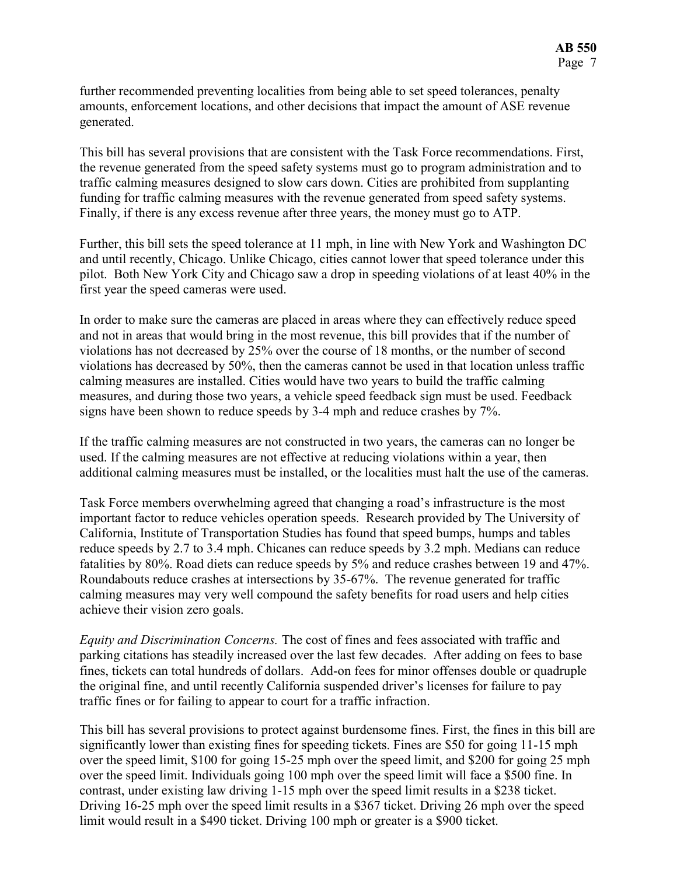further recommended preventing localities from being able to set speed tolerances, penalty amounts, enforcement locations, and other decisions that impact the amount of ASE revenue generated.

This bill has several provisions that are consistent with the Task Force recommendations. First, the revenue generated from the speed safety systems must go to program administration and to traffic calming measures designed to slow cars down. Cities are prohibited from supplanting funding for traffic calming measures with the revenue generated from speed safety systems. Finally, if there is any excess revenue after three years, the money must go to ATP.

Further, this bill sets the speed tolerance at 11 mph, in line with New York and Washington DC and until recently, Chicago. Unlike Chicago, cities cannot lower that speed tolerance under this pilot. Both New York City and Chicago saw a drop in speeding violations of at least 40% in the first year the speed cameras were used.

In order to make sure the cameras are placed in areas where they can effectively reduce speed and not in areas that would bring in the most revenue, this bill provides that if the number of violations has not decreased by 25% over the course of 18 months, or the number of second violations has decreased by 50%, then the cameras cannot be used in that location unless traffic calming measures are installed. Cities would have two years to build the traffic calming measures, and during those two years, a vehicle speed feedback sign must be used. Feedback signs have been shown to reduce speeds by 3-4 mph and reduce crashes by 7%.

If the traffic calming measures are not constructed in two years, the cameras can no longer be used. If the calming measures are not effective at reducing violations within a year, then additional calming measures must be installed, or the localities must halt the use of the cameras.

Task Force members overwhelming agreed that changing a road's infrastructure is the most important factor to reduce vehicles operation speeds. Research provided by The University of California, Institute of Transportation Studies has found that speed bumps, humps and tables reduce speeds by 2.7 to 3.4 mph. Chicanes can reduce speeds by 3.2 mph. Medians can reduce fatalities by 80%. Road diets can reduce speeds by 5% and reduce crashes between 19 and 47%. Roundabouts reduce crashes at intersections by 35-67%. The revenue generated for traffic calming measures may very well compound the safety benefits for road users and help cities achieve their vision zero goals.

Equity and Discrimination Concerns. The cost of fines and fees associated with traffic and parking citations has steadily increased over the last few decades. After adding on fees to base fines, tickets can total hundreds of dollars. Add-on fees for minor offenses double or quadruple the original fine, and until recently California suspended driver's licenses for failure to pay traffic fines or for failing to appear to court for a traffic infraction.

This bill has several provisions to protect against burdensome fines. First, the fines in this bill are significantly lower than existing fines for speeding tickets. Fines are \$50 for going 11-15 mph over the speed limit, \$100 for going 15-25 mph over the speed limit, and \$200 for going 25 mph over the speed limit. Individuals going 100 mph over the speed limit will face a \$500 fine. In contrast, under existing law driving 1-15 mph over the speed limit results in a \$238 ticket. Driving 16-25 mph over the speed limit results in a \$367 ticket. Driving 26 mph over the speed limit would result in a \$490 ticket. Driving 100 mph or greater is a \$900 ticket.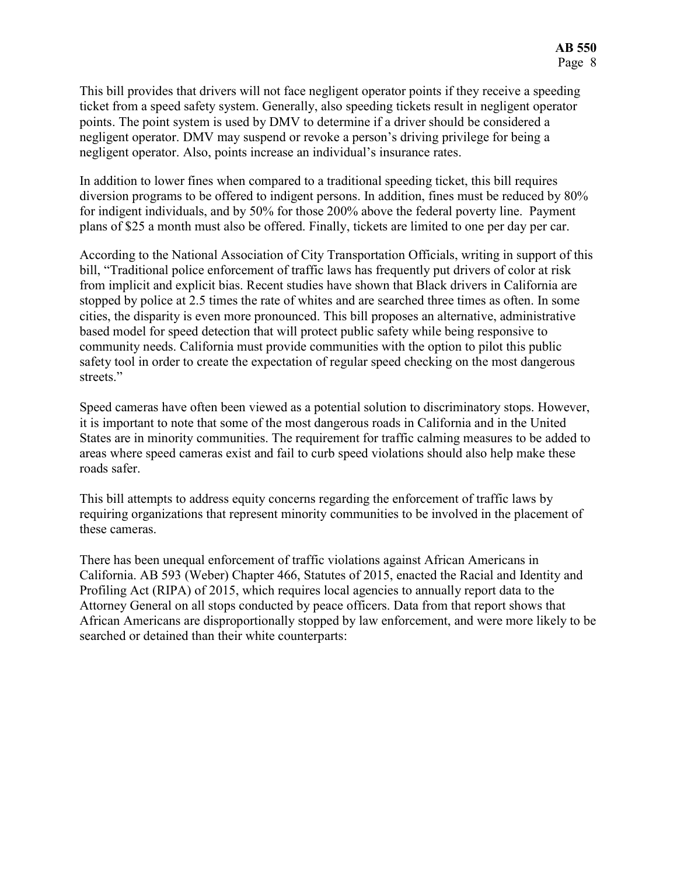This bill provides that drivers will not face negligent operator points if they receive a speeding ticket from a speed safety system. Generally, also speeding tickets result in negligent operator points. The point system is used by DMV to determine if a driver should be considered a negligent operator. DMV may suspend or revoke a person's driving privilege for being a negligent operator. Also, points increase an individual's insurance rates.

In addition to lower fines when compared to a traditional speeding ticket, this bill requires diversion programs to be offered to indigent persons. In addition, fines must be reduced by 80% for indigent individuals, and by 50% for those 200% above the federal poverty line. Payment plans of \$25 a month must also be offered. Finally, tickets are limited to one per day per car.

According to the National Association of City Transportation Officials, writing in support of this bill, "Traditional police enforcement of traffic laws has frequently put drivers of color at risk from implicit and explicit bias. Recent studies have shown that Black drivers in California are stopped by police at 2.5 times the rate of whites and are searched three times as often. In some cities, the disparity is even more pronounced. This bill proposes an alternative, administrative based model for speed detection that will protect public safety while being responsive to community needs. California must provide communities with the option to pilot this public safety tool in order to create the expectation of regular speed checking on the most dangerous streets."

Speed cameras have often been viewed as a potential solution to discriminatory stops. However, it is important to note that some of the most dangerous roads in California and in the United States are in minority communities. The requirement for traffic calming measures to be added to areas where speed cameras exist and fail to curb speed violations should also help make these roads safer.

This bill attempts to address equity concerns regarding the enforcement of traffic laws by requiring organizations that represent minority communities to be involved in the placement of these cameras.

There has been unequal enforcement of traffic violations against African Americans in California. AB 593 (Weber) Chapter 466, Statutes of 2015, enacted the Racial and Identity and Profiling Act (RIPA) of 2015, which requires local agencies to annually report data to the Attorney General on all stops conducted by peace officers. Data from that report shows that African Americans are disproportionally stopped by law enforcement, and were more likely to be searched or detained than their white counterparts: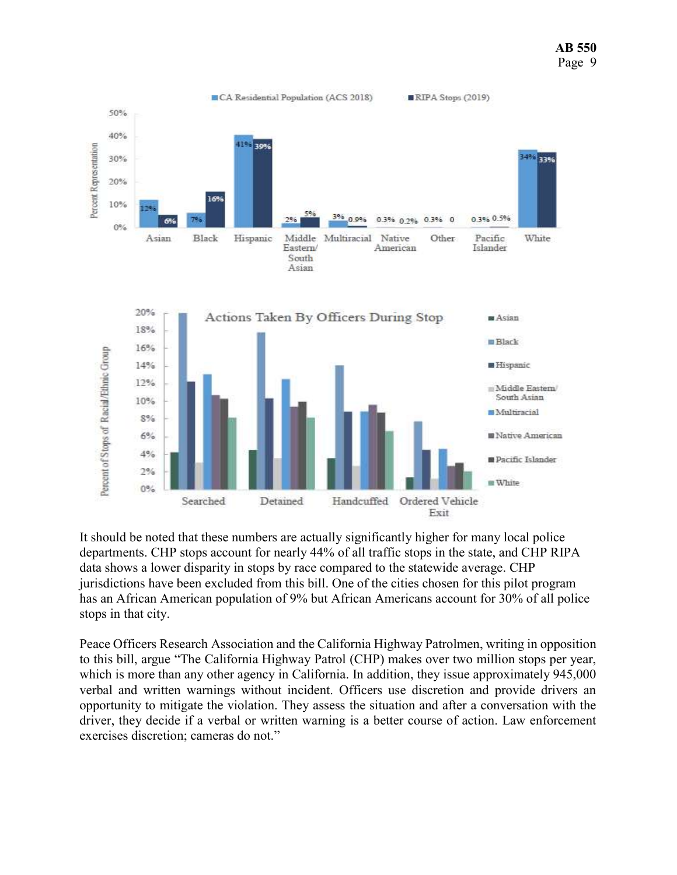AB 550 Page 9



It should be noted that these numbers are actually significantly higher for many local police departments. CHP stops account for nearly 44% of all traffic stops in the state, and CHP RIPA data shows a lower disparity in stops by race compared to the statewide average. CHP jurisdictions have been excluded from this bill. One of the cities chosen for this pilot program has an African American population of 9% but African Americans account for 30% of all police stops in that city.

Peace Officers Research Association and the California Highway Patrolmen, writing in opposition to this bill, argue "The California Highway Patrol (CHP) makes over two million stops per year, which is more than any other agency in California. In addition, they issue approximately 945,000 verbal and written warnings without incident. Officers use discretion and provide drivers an opportunity to mitigate the violation. They assess the situation and after a conversation with the driver, they decide if a verbal or written warning is a better course of action. Law enforcement exercises discretion; cameras do not."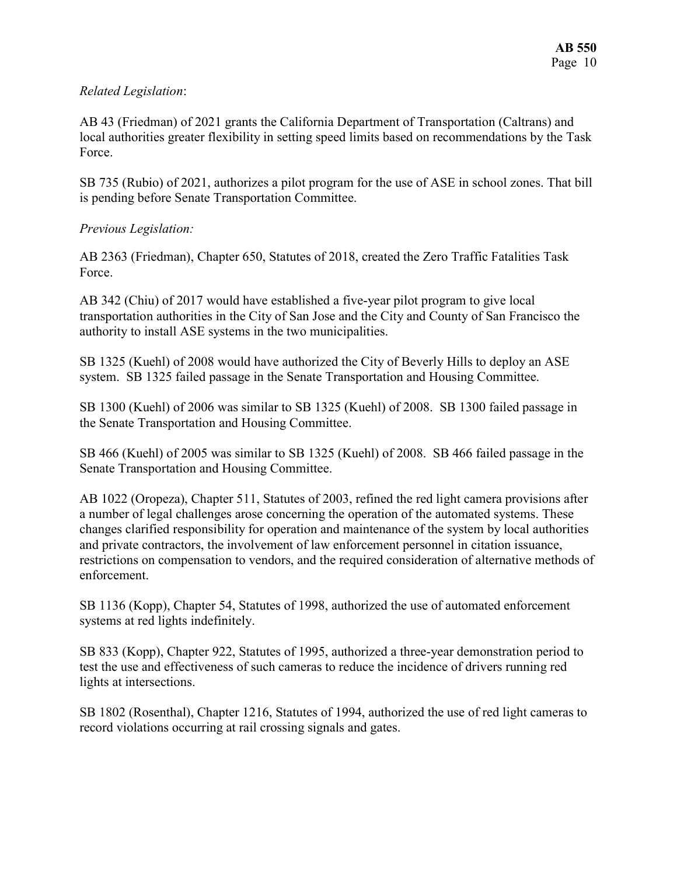# Related Legislation:

AB 43 (Friedman) of 2021 grants the California Department of Transportation (Caltrans) and local authorities greater flexibility in setting speed limits based on recommendations by the Task Force.

SB 735 (Rubio) of 2021, authorizes a pilot program for the use of ASE in school zones. That bill is pending before Senate Transportation Committee.

### Previous Legislation:

AB 2363 (Friedman), Chapter 650, Statutes of 2018, created the Zero Traffic Fatalities Task Force.

AB 342 (Chiu) of 2017 would have established a five-year pilot program to give local transportation authorities in the City of San Jose and the City and County of San Francisco the authority to install ASE systems in the two municipalities.

SB 1325 (Kuehl) of 2008 would have authorized the City of Beverly Hills to deploy an ASE system. SB 1325 failed passage in the Senate Transportation and Housing Committee.

SB 1300 (Kuehl) of 2006 was similar to SB 1325 (Kuehl) of 2008. SB 1300 failed passage in the Senate Transportation and Housing Committee.

SB 466 (Kuehl) of 2005 was similar to SB 1325 (Kuehl) of 2008. SB 466 failed passage in the Senate Transportation and Housing Committee.

AB 1022 (Oropeza), Chapter 511, Statutes of 2003, refined the red light camera provisions after a number of legal challenges arose concerning the operation of the automated systems. These changes clarified responsibility for operation and maintenance of the system by local authorities and private contractors, the involvement of law enforcement personnel in citation issuance, restrictions on compensation to vendors, and the required consideration of alternative methods of enforcement.

SB 1136 (Kopp), Chapter 54, Statutes of 1998, authorized the use of automated enforcement systems at red lights indefinitely.

SB 833 (Kopp), Chapter 922, Statutes of 1995, authorized a three-year demonstration period to test the use and effectiveness of such cameras to reduce the incidence of drivers running red lights at intersections.

SB 1802 (Rosenthal), Chapter 1216, Statutes of 1994, authorized the use of red light cameras to record violations occurring at rail crossing signals and gates.